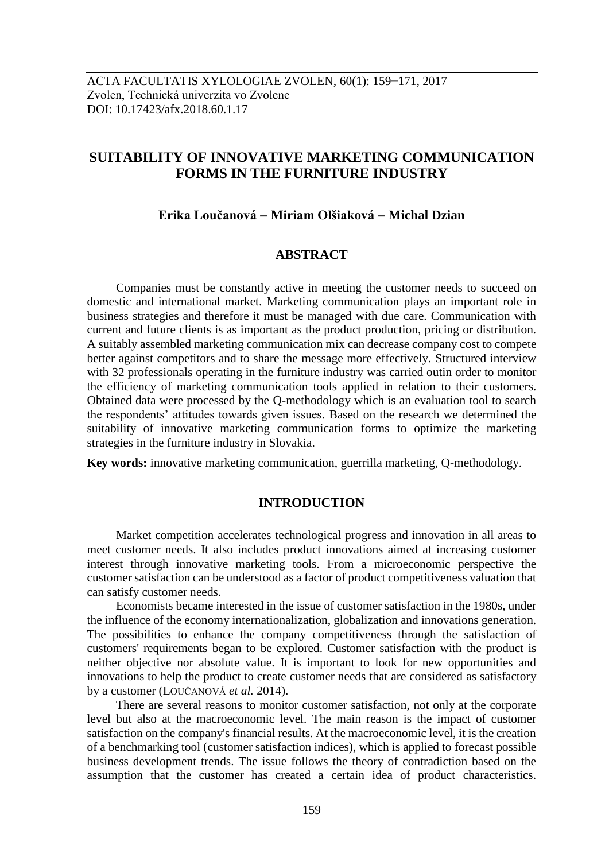# **SUITABILITY OF INNOVATIVE MARKETING COMMUNICATION FORMS IN THE FURNITURE INDUSTRY**

# **Erika Loučanová Miriam Olšiaková Michal Dzian**

# **ABSTRACT**

Companies must be constantly active in meeting the customer needs to succeed on domestic and international market. Marketing communication plays an important role in business strategies and therefore it must be managed with due care. Communication with current and future clients is as important as the product production, pricing or distribution. A suitably assembled marketing communication mix can decrease company cost to compete better against competitors and to share the message more effectively. Structured interview with 32 professionals operating in the furniture industry was carried outin order to monitor the efficiency of marketing communication tools applied in relation to their customers. Obtained data were processed by the Q-methodology which is an evaluation tool to search the respondents' attitudes towards given issues. Based on the research we determined the suitability of innovative marketing communication forms to optimize the marketing strategies in the furniture industry in Slovakia.

**Key words:** innovative marketing communication, guerrilla marketing, Q-methodology.

## **INTRODUCTION**

Market competition accelerates technological progress and innovation in all areas to meet customer needs. It also includes product innovations aimed at increasing customer interest through innovative marketing tools. From a microeconomic perspective the customer satisfaction can be understood as a factor of product competitiveness valuation that can satisfy customer needs.

Economists became interested in the issue of customer satisfaction in the 1980s, under the influence of the economy internationalization, globalization and innovations generation. The possibilities to enhance the company competitiveness through the satisfaction of customers' requirements began to be explored. Customer satisfaction with the product is neither objective nor absolute value. It is important to look for new opportunities and innovations to help the product to create customer needs that are considered as satisfactory by a customer (LOUČANOVÁ *et al.* 2014).

There are several reasons to monitor customer satisfaction, not only at the corporate level but also at the macroeconomic level. The main reason is the impact of customer satisfaction on the company's financial results. At the macroeconomic level, it is the creation of a benchmarking tool (customer satisfaction indices), which is applied to forecast possible business development trends. The issue follows the theory of contradiction based on the assumption that the customer has created a certain idea of product characteristics.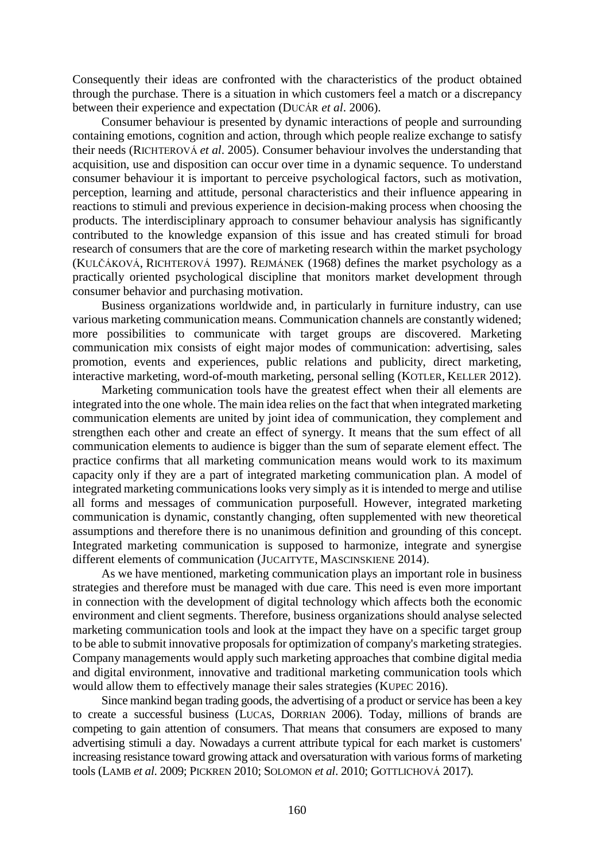Consequently their ideas are confronted with the characteristics of the product obtained through the purchase. There is a situation in which customers feel a match or a discrepancy between their experience and expectation (DUCÁR *et al*. 2006).

Consumer behaviour is presented by dynamic interactions of people and surrounding containing emotions, cognition and action, through which people realize exchange to satisfy their needs (RICHTEROVÁ *et al*. 2005). Consumer behaviour involves the understanding that acquisition, use and disposition can occur over time in a dynamic sequence. To understand consumer behaviour it is important to perceive psychological factors, such as motivation, perception, learning and attitude, personal characteristics and their influence appearing in reactions to stimuli and previous experience in decision-making process when choosing the products. The interdisciplinary approach to consumer behaviour analysis has significantly contributed to the knowledge expansion of this issue and has created stimuli for broad research of consumers that are the core of marketing research within the market psychology (KULČÁKOVÁ, RICHTEROVÁ 1997). REJMÁNEK (1968) defines the market psychology as a practically oriented psychological discipline that monitors market development through consumer behavior and purchasing motivation.

Business organizations worldwide and, in particularly in furniture industry, can use various marketing communication means. Communication channels are constantly widened; more possibilities to communicate with target groups are discovered. Marketing communication mix consists of eight major modes of communication: advertising, sales promotion, events and experiences, public relations and publicity, direct marketing, interactive marketing, word-of-mouth marketing, personal selling (KOTLER, KELLER 2012).

Marketing communication tools have the greatest effect when their all elements are integrated into the one whole. The main idea relies on the fact that when integrated marketing communication elements are united by joint idea of communication, they complement and strengthen each other and create an effect of synergy. It means that the sum effect of all communication elements to audience is bigger than the sum of separate element effect. The practice confirms that all marketing communication means would work to its maximum capacity only if they are a part of integrated marketing communication plan. A model of integrated marketing communications looks very simply as it is intended to merge and utilise all forms and messages of communication purposefull. However, integrated marketing communication is dynamic, constantly changing, often supplemented with new theoretical assumptions and therefore there is no unanimous definition and grounding of this concept. Integrated marketing communication is supposed to harmonize, integrate and synergise different elements of communication (JUCAITYTE, MASCINSKIENE 2014).

As we have mentioned, marketing communication plays an important role in business strategies and therefore must be managed with due care. This need is even more important in connection with the development of digital technology which affects both the economic environment and client segments. Therefore, business organizations should analyse selected marketing communication tools and look at the impact they have on a specific target group to be able to submit innovative proposals for optimization of company's marketing strategies. Company managements would apply such marketing approaches that combine digital media and digital environment, innovative and traditional marketing communication tools which would allow them to effectively manage their sales strategies (KUPEC 2016).

Since mankind began trading goods, the advertising of a product or service has been a key to create a successful business (LUCAS, DORRIAN 2006). Today, millions of brands are competing to gain attention of consumers. That means that consumers are exposed to many advertising stimuli a day. Nowadays a current attribute typical for each market is customers' increasing resistance toward growing attack and oversaturation with various forms of marketing tools (LAMB *et al*. 2009; PICKREN 2010; SOLOMON *et al*. 2010; G[OTTLICHOVÁ](http://apps.webofknowledge.com/DaisyOneClickSearch.do?product=WOS&search_mode=DaisyOneClickSearch&colName=WOS&SID=N14IJotfXTo6tKigzM2&author_name=Gottlichova,%20M&dais_id=31270530&excludeEventConfig=ExcludeIfFromFullRecPage) 2017).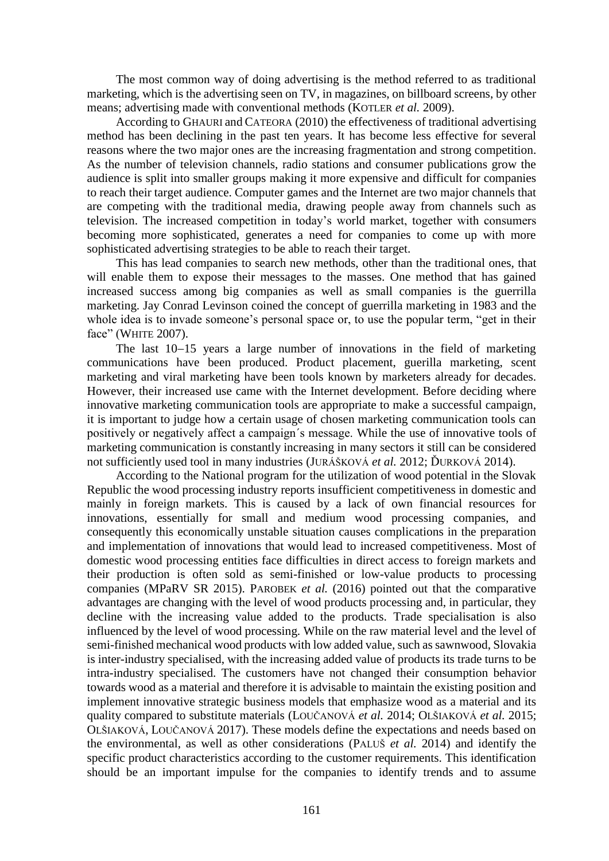The most common way of doing advertising is the method referred to as traditional marketing, which is the advertising seen on TV, in magazines, on billboard screens, by other means; advertising made with conventional methods (KOTLER *et al.* 2009).

According to GHAURI and CATEORA (2010) the effectiveness of traditional advertising method has been declining in the past ten years. It has become less effective for several reasons where the two major ones are the increasing fragmentation and strong competition. As the number of television channels, radio stations and consumer publications grow the audience is split into smaller groups making it more expensive and difficult for companies to reach their target audience. Computer games and the Internet are two major channels that are competing with the traditional media, drawing people away from channels such as television. The increased competition in today's world market, together with consumers becoming more sophisticated, generates a need for companies to come up with more sophisticated advertising strategies to be able to reach their target.

This has lead companies to search new methods, other than the traditional ones, that will enable them to expose their messages to the masses. One method that has gained increased success among big companies as well as small companies is the guerrilla marketing. Jay Conrad Levinson coined the concept of guerrilla marketing in 1983 and the whole idea is to invade someone's personal space or, to use the popular term, "get in their face" (WHITE 2007).

The last  $10-15$  years a large number of innovations in the field of marketing communications have been produced. Product placement, guerilla marketing, scent marketing and viral marketing have been tools known by marketers already for decades. However, their increased use came with the Internet development. Before deciding where innovative marketing communication tools are appropriate to make a successful campaign, it is important to judge how a certain usage of chosen marketing communication tools can positively or negatively affect a campaign´s message. While the use of innovative tools of marketing communication is constantly increasing in many sectors it still can be considered not sufficiently used tool in many industries (JURÁŠKOVÁ *et al.* 2012; ĎURKOVÁ 2014).

According to the National program for the utilization of wood potential in the Slovak Republic the wood processing industry reports insufficient competitiveness in domestic and mainly in foreign markets. This is caused by a lack of own financial resources for innovations, essentially for small and medium wood processing companies, and consequently this economically unstable situation causes complications in the preparation and implementation of innovations that would lead to increased competitiveness. Most of domestic wood processing entities face difficulties in direct access to foreign markets and their production is often sold as semi-finished or low-value products to processing companies (MPaRV SR 2015). PAROBEK *et al.* (2016) pointed out that the comparative advantages are changing with the level of wood products processing and, in particular, they decline with the increasing value added to the products. Trade specialisation is also influenced by the level of wood processing. While on the raw material level and the level of semi-finished mechanical wood products with low added value, such as sawnwood, Slovakia is inter-industry specialised, with the increasing added value of products its trade turns to be intra-industry specialised. The customers have not changed their consumption behavior towards wood as a material and therefore it is advisable to maintain the existing position and implement innovative strategic business models that emphasize wood as a material and its quality compared to substitute materials (LOUČANOVÁ *et al.* 2014; OLŠIAKOVÁ *et al.* 2015; OLŠIAKOVÁ, LOUČANOVÁ 2017). These models define the expectations and needs based on the environmental, as well as other considerations (PALUŠ *et al.* 2014) and identify the specific product characteristics according to the customer requirements. This identification should be an important impulse for the companies to identify trends and to assume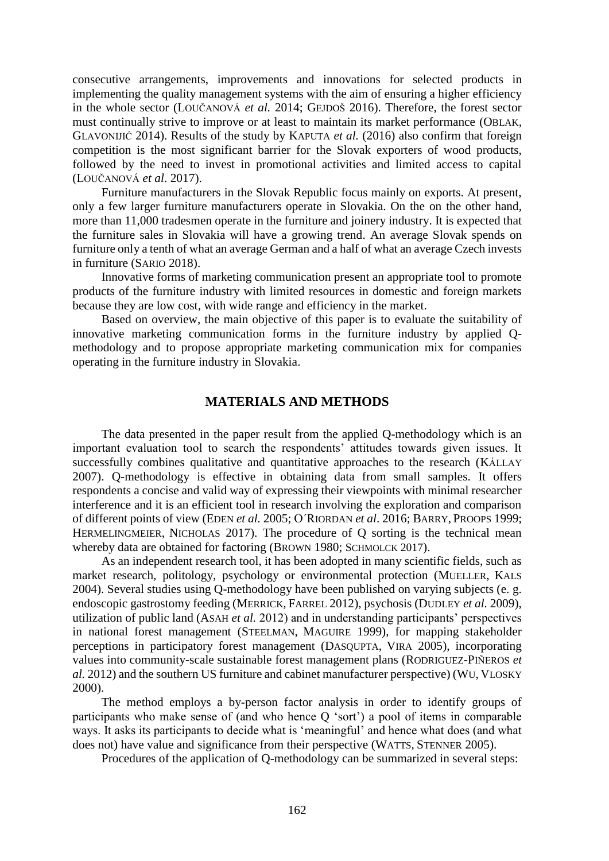consecutive arrangements, improvements and innovations for selected products in implementing the quality management systems with the aim of ensuring a higher efficiency in the whole sector (LOUČANOVÁ *et al.* 2014; GEJDOŠ 2016). Therefore, the forest sector must continually strive to improve or at least to maintain its market performance (OBLAK, GLAVONIJIĆ 2014). Results of the study by KAPUTA *et al.* (2016) also confirm that foreign competition is the most significant barrier for the Slovak exporters of wood products, followed by the need to invest in promotional activities and limited access to capital (LOUČANOVÁ *et al*. 2017).

Furniture manufacturers in the Slovak Republic focus mainly on exports. At present, only a few larger furniture manufacturers operate in Slovakia. On the on the other hand, more than 11,000 tradesmen operate in the furniture and joinery industry. It is expected that the furniture sales in Slovakia will have a growing trend. An average Slovak spends on furniture only a tenth of what an average German and a half of what an average Czech invests in furniture (SARIO 2018).

Innovative forms of marketing communication present an appropriate tool to promote products of the furniture industry with limited resources in domestic and foreign markets because they are low cost, with wide range and efficiency in the market.

Based on overview, the main objective of this paper is to evaluate the suitability of innovative marketing communication forms in the furniture industry by applied Qmethodology and to propose appropriate marketing communication mix for companies operating in the furniture industry in Slovakia.

# **MATERIALS AND METHODS**

The data presented in the paper result from the applied Q-methodology which is an important evaluation tool to search the respondents' attitudes towards given issues. It successfully combines qualitative and quantitative approaches to the research (KÁLLAY 2007). Q-methodology is effective in obtaining data from small samples. It offers respondents a concise and valid way of expressing their viewpoints with minimal researcher interference and it is an efficient tool in research involving the exploration and comparison of different points of view (EDEN *et al.* 2005; O´RIORDAN *et al*. 2016; BARRY, PROOPS 1999; H[ERMELINGMEIER](http://www.sciencedirect.com/science/article/pii/S0921800915304006), NICHOLAS 2017). The procedure of O sorting is the technical mean whereby data are obtained for factoring (BROWN 1980; SCHMOLCK 2017).

As an independent research tool, it has been adopted in many scientific fields, such as market research, politology, psychology or environmental protection (MUELLER, KALS 2004). Several studies using Q-methodology have been published on varying subjects (e. g. endoscopic gastrostomy feeding (MERRICK, FARREL 2012), psychosis (DUDLEY *et al.* 2009), utilization of public land (ASAH *et al.* 2012) and in understanding participants' perspectives in national forest management (STEELMAN, MAGUIRE 1999), for mapping stakeholder perceptions in participatory forest management (DASQUPTA, VIRA 2005), incorporating values into community-scale sustainable forest management plans (RODRIGUEZ-PIÑEROS *et al.* 2012) and the southern US furniture and cabinet manufacturer perspective) (WU, VLOSKY 2000).

The method employs a by-person factor analysis in order to identify groups of participants who make sense of (and who hence Q 'sort') a pool of items in comparable ways. It asks its participants to decide what is 'meaningful' and hence what does (and what does not) have value and significance from their perspective (WATTS, STENNER 2005).

Procedures of the application of Q-methodology can be summarized in several steps: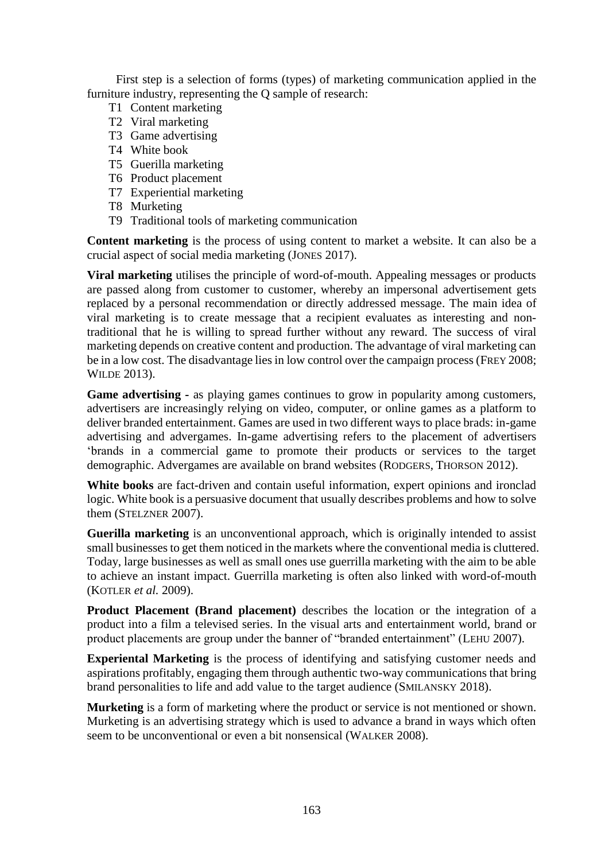First step is a selection of forms (types) of marketing communication applied in the furniture industry, representing the Q sample of research:

- T1 Content marketing
- T2 Viral marketing
- T3 Game advertising
- T4 White book
- T5 Guerilla marketing
- T6 Product placement
- T7 Experiential marketing
- T8 Murketing
- T9 Traditional tools of marketing communication

**Content marketing** is the process of using content to market a website. It can also be a crucial aspect of social media marketing (JONES 2017).

**Viral marketing** utilises the principle of word-of-mouth. Appealing messages or products are passed along from customer to customer, whereby an impersonal advertisement gets replaced by a personal recommendation or directly addressed message. The main idea of viral marketing is to create message that a recipient evaluates as interesting and nontraditional that he is willing to spread further without any reward. The success of viral marketing depends on creative content and production. The advantage of viral marketing can be in a low cost. The disadvantage lies in low control over the campaign process (FREY 2008; WILDE 2013).

**Game advertising -** as playing games continues to grow in popularity among customers, advertisers are increasingly relying on video, computer, or online games as a platform to deliver branded entertainment. Games are used in two different ways to place brads: in-game advertising and advergames. In-game advertising refers to the placement of advertisers 'brands in a commercial game to promote their products or services to the target demographic. Advergames are available on brand websites (RODGERS, THORSON 2012).

**White books** are fact-driven and contain useful information, expert opinions and ironclad logic. White book is a persuasive document that usually describes problems and how to solve them (STELZNER 2007).

**Guerilla marketing** is an unconventional approach, which is originally intended to assist small businesses to get them noticed in the markets where the conventional media is cluttered. Today, large businesses as well as small ones use guerrilla marketing with the aim to be able to achieve an instant impact. Guerrilla marketing is often also linked with word-of-mouth (KOTLER *et al.* 2009).

**Product Placement (Brand placement)** describes the location or the integration of a product into a film a televised series. In the visual arts and entertainment world, brand or product placements are group under the banner of "branded entertainment" (LEHU 2007).

**Experiental Marketing** is the process of identifying and satisfying customer needs and aspirations profitably, engaging them through authentic two-way communications that bring brand personalities to life and add value to the target audience (SMILANSKY 2018).

**Murketing** is a form of marketing where the product or service is not mentioned or shown. Murketing is an advertising strategy which is used to advance a brand in ways which often seem to be unconventional or even a bit nonsensical (WALKER 2008).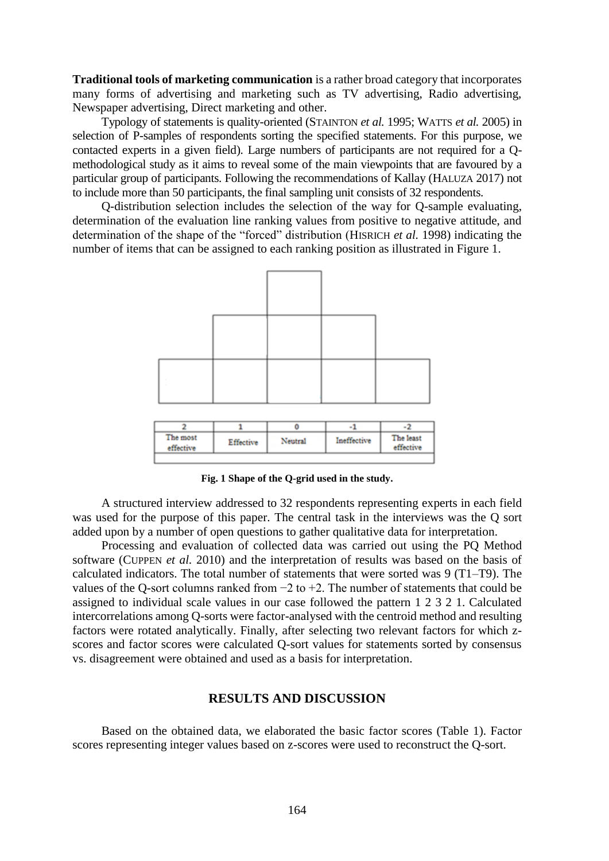**Traditional tools of marketing communication** is a rather broad category that incorporates many forms of advertising and marketing such as TV advertising, Radio advertising, Newspaper advertising, Direct marketing and other.

Typology of statements is quality-oriented (STAINTON *et al.* 1995; WATTS *et al.* 2005) in selection of P-samples of respondents sorting the specified statements. For this purpose, we contacted experts in a given field). Large numbers of participants are not required for a Qmethodological study as it aims to reveal some of the main viewpoints that are favoured by a particular group of participants. Following the recommendations of Kallay (HALUZA 2017) not to include more than 50 participants, the final sampling unit consists of 32 respondents.

Q-distribution selection includes the selection of the way for Q-sample evaluating, determination of the evaluation line ranking values from positive to negative attitude, and determination of the shape of the "forced" distribution (HISRICH *et al.* 1998) indicating the number of items that can be assigned to each ranking position as illustrated in Figure 1.



**Fig. 1 Shape of the Q-grid used in the study.**

A structured interview addressed to 32 respondents representing experts in each field was used for the purpose of this paper. The central task in the interviews was the Q sort added upon by a number of open questions to gather qualitative data for interpretation.

Processing and evaluation of collected data was carried out using the PQ Method software (CUPPEN *et al.* 2010) and the interpretation of results was based on the basis of calculated indicators. The total number of statements that were sorted was 9 (T1–T9). The values of the Q-sort columns ranked from  $-2$  to  $+2$ . The number of statements that could be assigned to individual scale values in our case followed the pattern 1 2 3 2 1. Calculated intercorrelations among Q-sorts were factor-analysed with the centroid method and resulting factors were rotated analytically. Finally, after selecting two relevant factors for which zscores and factor scores were calculated Q-sort values for statements sorted by consensus vs. disagreement were obtained and used as a basis for interpretation.

## **RESULTS AND DISCUSSION**

Based on the obtained data, we elaborated the basic factor scores (Table 1). Factor scores representing integer values based on z-scores were used to reconstruct the Q-sort.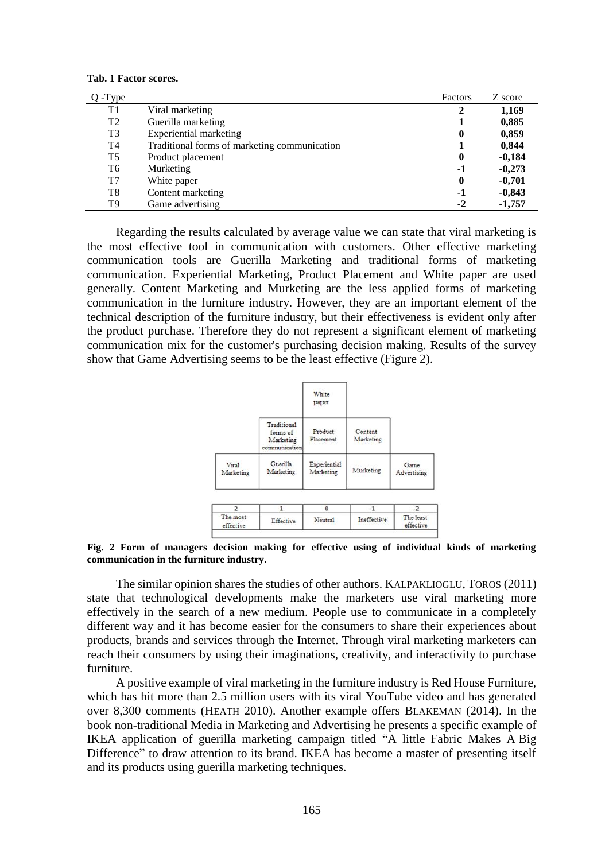**Tab. 1 Factor scores.**

| -Type          |                                              | Factors      | Z score  |
|----------------|----------------------------------------------|--------------|----------|
| T1             | Viral marketing                              |              | 1,169    |
| T <sub>2</sub> | Guerilla marketing                           |              | 0,885    |
| T <sub>3</sub> | Experiential marketing                       | 0            | 0,859    |
| T4             | Traditional forms of marketing communication |              | 0,844    |
| T5             | Product placement                            | $\mathbf{0}$ | $-0,184$ |
| T6             | Murketing                                    | $-1$         | $-0,273$ |
| T7             | White paper                                  | $\mathbf{0}$ | $-0,701$ |
| T8             | Content marketing                            | $-1$         | $-0,843$ |
| T9             | Game advertising                             | $-2$         | $-1,757$ |

Regarding the results calculated by average value we can state that viral marketing is the most effective tool in communication with customers. Other effective marketing communication tools are Guerilla Marketing and traditional forms of marketing communication. Experiential Marketing, Product Placement and White paper are used generally. Content Marketing and Murketing are the less applied forms of marketing communication in the furniture industry. However, they are an important element of the technical description of the furniture industry, but their effectiveness is evident only after the product purchase. Therefore they do not represent a significant element of marketing communication mix for the customer's purchasing decision making. Results of the survey show that Game Advertising seems to be the least effective (Figure 2).



**Fig. 2 Form of managers decision making for effective using of individual kinds of marketing communication in the furniture industry.**

The similar opinion shares the studies of other authors. KALPAKLIOGLU, TOROS (2011) state that technological developments make the marketers use viral marketing more effectively in the search of a new medium. People use to communicate in a completely different way and it has become easier for the consumers to share their experiences about products, brands and services through the Internet. Through viral marketing marketers can reach their consumers by using their imaginations, creativity, and interactivity to purchase furniture.

A positive example of viral marketing in the furniture industry is Red House Furniture, which has hit more than 2.5 million users with its viral YouTube video and has generated over 8,300 comments (HEATH 2010). Another example offers BLAKEMAN (2014). In the book non-traditional Media in Marketing and Advertising he presents a specific example of IKEA application of guerilla marketing campaign titled "A little Fabric Makes A Big Difference" to draw attention to its brand. IKEA has become a master of presenting itself and its products using guerilla marketing techniques.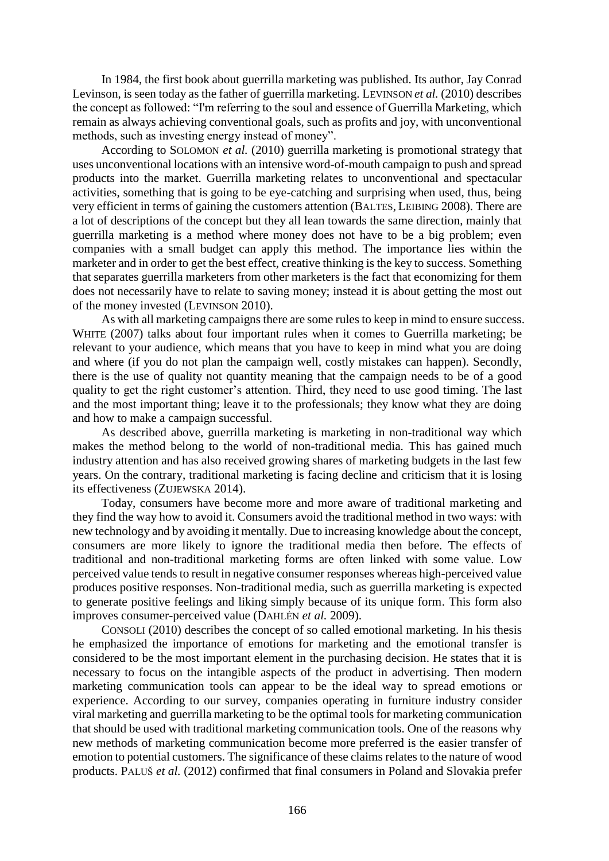In 1984, the first book about guerrilla marketing was published. Its author, Jay Conrad Levinson, is seen today as the father of guerrilla marketing. LEVINSON *et al.* (2010) describes the concept as followed: "I'm referring to the soul and essence of Guerrilla Marketing, which remain as always achieving conventional goals, such as profits and joy, with unconventional methods, such as investing energy instead of money".

According to SOLOMON *et al.* (2010) guerrilla marketing is promotional strategy that uses unconventional locations with an intensive word-of-mouth campaign to push and spread products into the market. Guerrilla marketing relates to unconventional and spectacular activities, something that is going to be eye-catching and surprising when used, thus, being very efficient in terms of gaining the customers attention (BALTES, LEIBING 2008). There are a lot of descriptions of the concept but they all lean towards the same direction, mainly that guerrilla marketing is a method where money does not have to be a big problem; even companies with a small budget can apply this method. The importance lies within the marketer and in order to get the best effect, creative thinking is the key to success. Something that separates guerrilla marketers from other marketers is the fact that economizing for them does not necessarily have to relate to saving money; instead it is about getting the most out of the money invested (LEVINSON 2010).

As with all marketing campaigns there are some rules to keep in mind to ensure success. WHITE (2007) talks about four important rules when it comes to Guerrilla marketing; be relevant to your audience, which means that you have to keep in mind what you are doing and where (if you do not plan the campaign well, costly mistakes can happen). Secondly, there is the use of quality not quantity meaning that the campaign needs to be of a good quality to get the right customer's attention. Third, they need to use good timing. The last and the most important thing; leave it to the professionals; they know what they are doing and how to make a campaign successful.

As described above, guerrilla marketing is marketing in non-traditional way which makes the method belong to the world of non-traditional media. This has gained much industry attention and has also received growing shares of marketing budgets in the last few years. On the contrary, traditional marketing is facing decline and criticism that it is losing its effectiveness (ZUJEWSKA 2014).

Today, consumers have become more and more aware of traditional marketing and they find the way how to avoid it. Consumers avoid the traditional method in two ways: with new technology and by avoiding it mentally. Due to increasing knowledge about the concept, consumers are more likely to ignore the traditional media then before. The effects of traditional and non-traditional marketing forms are often linked with some value. Low perceived value tends to result in negative consumer responses whereas high-perceived value produces positive responses. Non-traditional media, such as guerrilla marketing is expected to generate positive feelings and liking simply because of its unique form. This form also improves consumer-perceived value (DAHLÉN *et al.* 2009).

CONSOLI (2010) describes the concept of so called emotional marketing. In his thesis he emphasized the importance of emotions for marketing and the emotional transfer is considered to be the most important element in the purchasing decision. He states that it is necessary to focus on the intangible aspects of the product in advertising. Then modern marketing communication tools can appear to be the ideal way to spread emotions or experience. According to our survey, companies operating in furniture industry consider viral marketing and guerrilla marketing to be the optimal tools for marketing communication that should be used with traditional marketing communication tools. One of the reasons why new methods of marketing communication become more preferred is the easier transfer of emotion to potential customers. The significance of these claims relates to the nature of wood products. PALUŠ *et al.* (2012) confirmed that final consumers in Poland and Slovakia prefer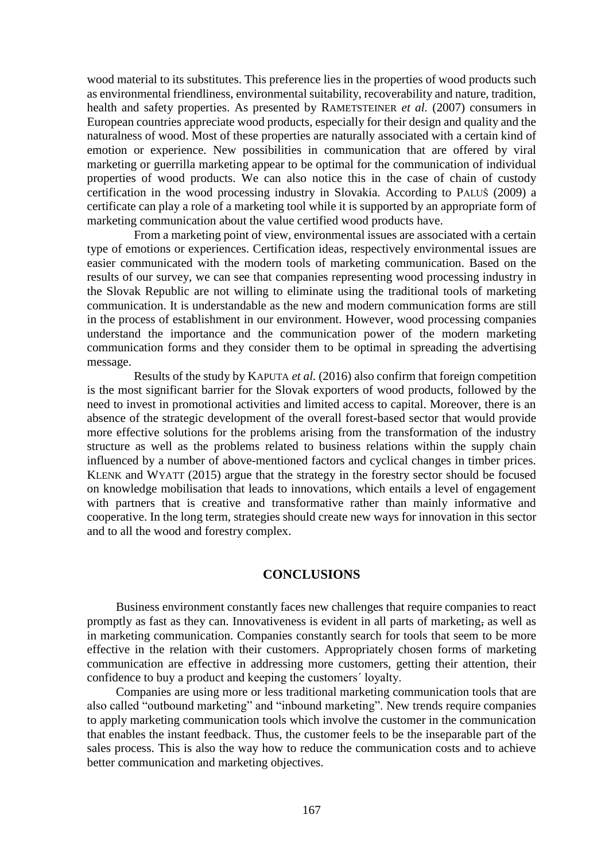wood material to its substitutes. This preference lies in the properties of wood products such as environmental friendliness, environmental suitability, recoverability and nature, tradition, health and safety properties. As presented by RAMETSTEINER *et al.* (2007) consumers in European countries appreciate wood products, especially for their design and quality and the naturalness of wood. Most of these properties are naturally associated with a certain kind of emotion or experience. New possibilities in communication that are offered by viral marketing or guerrilla marketing appear to be optimal for the communication of individual properties of wood products. We can also notice this in the case of chain of custody certification in the wood processing industry in Slovakia. According to PALUŠ (2009) a certificate can play a role of a marketing tool while it is supported by an appropriate form of marketing communication about the value certified wood products have.

From a marketing point of view, environmental issues are associated with a certain type of emotions or experiences. Certification ideas, respectively environmental issues are easier communicated with the modern tools of marketing communication. Based on the results of our survey, we can see that companies representing wood processing industry in the Slovak Republic are not willing to eliminate using the traditional tools of marketing communication. It is understandable as the new and modern communication forms are still in the process of establishment in our environment. However, wood processing companies understand the importance and the communication power of the modern marketing communication forms and they consider them to be optimal in spreading the advertising message.

Results of the study by KAPUTA *et al.* (2016) also confirm that foreign competition is the most significant barrier for the Slovak exporters of wood products, followed by the need to invest in promotional activities and limited access to capital. Moreover, there is an absence of the strategic development of the overall forest-based sector that would provide more effective solutions for the problems arising from the transformation of the industry structure as well as the problems related to business relations within the supply chain influenced by a number of above-mentioned factors and cyclical changes in timber prices. KLENK and WYATT (2015) argue that the strategy in the forestry sector should be focused on knowledge mobilisation that leads to innovations, which entails a level of engagement with partners that is creative and transformative rather than mainly informative and cooperative. In the long term, strategies should create new ways for innovation in this sector and to all the wood and forestry complex.

#### **CONCLUSIONS**

Business environment constantly faces new challenges that require companies to react promptly as fast as they can. Innovativeness is evident in all parts of marketing, as well as in marketing communication. Companies constantly search for tools that seem to be more effective in the relation with their customers. Appropriately chosen forms of marketing communication are effective in addressing more customers, getting their attention, their confidence to buy a product and keeping the customers´ loyalty.

Companies are using more or less traditional marketing communication tools that are also called "outbound marketing" and "inbound marketing". New trends require companies to apply marketing communication tools which involve the customer in the communication that enables the instant feedback. Thus, the customer feels to be the inseparable part of the sales process. This is also the way how to reduce the communication costs and to achieve better communication and marketing objectives.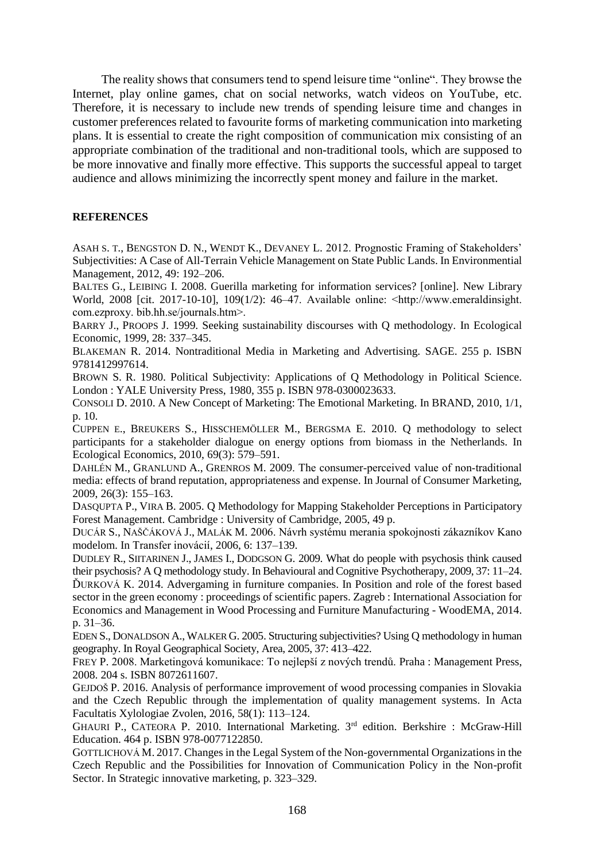The reality shows that consumers tend to spend leisure time "online". They browse the Internet, play online games, chat on social networks, watch videos on YouTube, etc. Therefore, it is necessary to include new trends of spending leisure time and changes in customer preferences related to favourite forms of marketing communication into marketing plans. It is essential to create the right composition of communication mix consisting of an appropriate combination of the traditional and non-traditional tools, which are supposed to be more innovative and finally more effective. This supports the successful appeal to target audience and allows minimizing the incorrectly spent money and failure in the market.

## **REFERENCES**

ASAH S. T., BENGSTON D. N., WENDT K., DEVANEY L. 2012. Prognostic Framing of Stakeholders' Subjectivities: A Case of All-Terrain Vehicle Management on State Public Lands. In Environmential Management, 2012, 49: 192–206.

BALTES G., LEIBING I. 2008. Guerilla marketing for information services? [online]. New Library World, 2008 [cit. 2017-10-10], 109(1/2): 46–47. Available online: ˂http://www.emeraldinsight. com.ezproxy. bib.hh.se/journals.htm>.

BARRY J., P[ROOPS](http://www.sciencedirect.com/science/article/pii/S0921800915304006#bb0015) J. 1999. Seeking sustainability discourses with Q methodology. In Ecological Economic, 1999, 28: 337–345.

BLAKEMAN R. 2014. Nontraditional Media in Marketing and Advertising. SAGE. 255 p. ISBN 9781412997614.

BROWN S. R. 1980. Political Subjectivity: Applications of Q Methodology in Political Science. London : YALE University Press, 1980, 355 p. ISBN 978-0300023633.

CONSOLI D. 2010. A New Concept of Marketing: The Emotional Marketing. In BRAND, 2010, 1/1, p. 10.

CUPPEN E., BREUKERS S., HISSCHEMÖLLER M., BERGSMA E. 2010. Q methodology to select participants for a stakeholder dialogue on energy options from biomass in the Netherlands. In Ecological Economics, 2010, 69(3): 579–591.

DAHLÉN M., GRANLUND A., GRENROS M. 2009. The consumer-perceived value of non-traditional media: effects of brand reputation, appropriateness and expense. In Journal of Consumer Marketing, 2009, 26(3): 155–163.

DASQUPTA P., VIRA B. 2005. Q Methodology for Mapping Stakeholder Perceptions in Participatory Forest Management. Cambridge : University of Cambridge, 2005, 49 p.

DUCÁR S., NAŠČÁKOVÁ J., MALÁK M. 2006. Návrh systému merania spokojnosti zákazníkov Kano modelom. In Transfer inovácií, 2006, 6: 137–139.

DUDLEY R., SIITARINEN J., JAMES I., DODGSON G. 2009. What do people with psychosis think caused their psychosis? A Q methodology study. In Behavioural and Cognitive Psychotherapy, 2009, 37: 11–24. ĎURKOVÁ K. 2014. Advergaming in furniture companies. In Position and role of the forest based sector in the green economy : proceedings of scientific papers. Zagreb : International Association for Economics and Management in Wood Processing and Furniture Manufacturing - WoodEMA, 2014. p. 31–36.

EDEN S., DONALDSON A.,WALKER G. 2005. Structuring subjectivities? Using Q methodology in human geography. In Royal Geographical Society, Area, 2005, 37: 413–422.

FREY P. 2008. Marketingová komunikace: To nejlepší z nových trendů. Praha : Management Press, 2008. 204 s. ISBN 8072611607.

GEJDOŠ P. 2016. Analysis of performance improvement of wood processing companies in Slovakia and the Czech Republic through the implementation of quality management systems. In [Acta](https://www.scopus.com/sourceid/7700153234?origin=recordpage)  [Facultatis Xylologiae](https://www.scopus.com/sourceid/7700153234?origin=recordpage) Zvolen, 2016, 58(1): 113–124.

GHAURI P., CATEORA P. 2010. International Marketing. 3<sup>rd</sup> edition. Berkshire : McGraw-Hill Education. 464 p. ISBN 978-0077122850.

G[OTTLICHOVÁ](http://apps.webofknowledge.com/DaisyOneClickSearch.do?product=WOS&search_mode=DaisyOneClickSearch&colName=WOS&SID=N14IJotfXTo6tKigzM2&author_name=Gottlichova,%20M&dais_id=31270530&excludeEventConfig=ExcludeIfFromFullRecPage) M. 2017. Changes in the Legal System of the Non-governmental Organizations in the Czech Republic and the Possibilities for Innovation of Communication Policy in the Non-profit Sector. In Strategic innovative marketing, p. 323–329.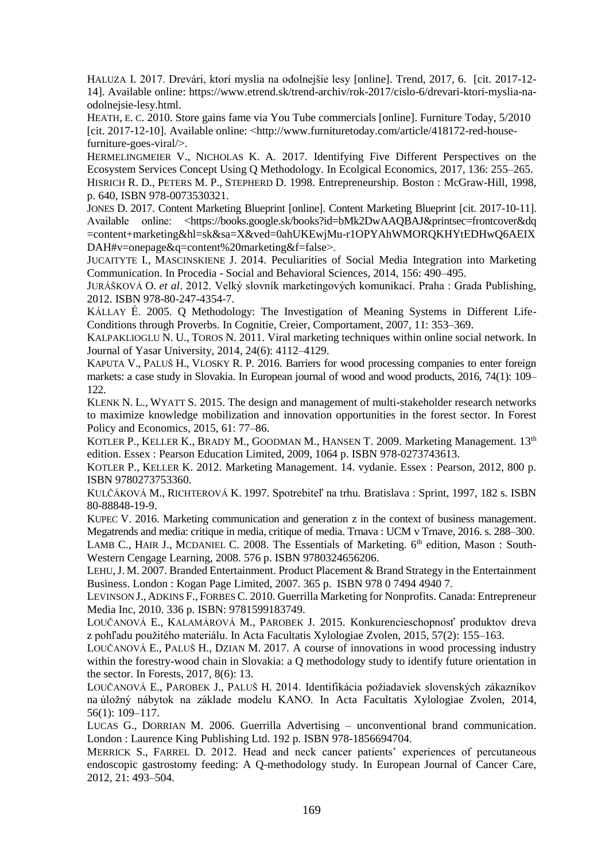HALUZA I. 2017. Drevári, ktorí myslia na odolnejšie lesy [online]. Trend, 2017, 6. [cit. 2017-12- 14]. Available online: https://www.etrend.sk/trend-archiv/rok-2017/cislo-6/drevari-ktori-myslia-naodolnejsie-lesy.html.

HEATH, E. C. 2010. Store gains fame via You Tube commercials [online]. Furniture Today, 5/2010 [cit. 2017-12-10]. Available online: ˂http://www.furnituretoday.com/article/418172-red-housefurniture-goes-viral/>.

H[ERMELINGMEIER](http://www.sciencedirect.com/science/article/pii/S0921800915304006) V., N[ICHOLAS](http://www.sciencedirect.com/science/article/pii/S0921800915304006) K. A. 2017. Identifying Five Different Perspectives on the Ecosystem Services Concept Using Q Methodology. In [Ecolgical](http://www.sciencedirect.com/science/journal/09218009) Economics, 2017, [136:](http://www.sciencedirect.com/science/journal/09218009/136/supp/C) 255–265. HISRICH R. D., PETERS M. P., STEPHERD D. 1998. Entrepreneurship. Boston : McGraw-Hill, 1998, p. 640, ISBN 978-0073530321.

JONES D. 2017. Content Marketing Blueprint [online]. Content Marketing Blueprint [cit. 2017-10-11]. Available online: ˂https://books.google.sk/books?id=bMk2DwAAQBAJ&printsec=frontcover&dq =content+marketing&hl=sk&sa=X&ved=0ahUKEwjMu-r1OPYAhWMORQKHYtEDHwQ6AEIX DAH#v=onepage&q=content%20marketing&f=false>.

JUCAITYTE I., MASCINSKIENE J. 2014. Peculiarities of Social Media Integration into Marketing Communication. In Procedia - [Social and Behavioral Sciences,](https://www.sciencedirect.com/science/journal/18770428) 2014, 156: 490–495.

JURÁŠKOVÁ O. *et al*. 2012. Velký slovník marketingových komunikací. Praha : Grada Publishing, 2012. ISBN 978-80-247-4354-7.

KÁLLAY É. 2005. Q Methodology: The Investigation of Meaning Systems in Different Life-Conditions through Proverbs. In Cognitie, Creier, Comportament, 2007, 11: 353–369.

KALPAKLIOGLU N. U., TOROS N. 2011. Viral marketing techniques within online social network. In Journal of Yasar University, 2014, 24(6): 4112–4129.

KAPUTA V., PALUŠ H., VLOSKY R. P. 2016. Barriers for wood processing companies to enter foreign markets: a case study in Slovakia. In European journal of wood and wood products, 2016, 74(1): 109– 122.

KLENK N. L., WYATT S. 2015. The design and management of multi-stakeholder research networks to maximize knowledge mobilization and innovation opportunities in the forest sector. In [Forest](http://www.sciencedirect.com/science/journal/13899341)  [Policy and Economics,](http://www.sciencedirect.com/science/journal/13899341) 2015, 61: 77–86.

KOTLER P., KELLER K., BRADY M., GOODMAN M., HANSEN T. 2009. Marketing Management. 13<sup>th</sup> edition. Essex : Pearson Education Limited, 2009, 1064 p. ISBN 978-0273743613.

KOTLER P., KELLER K. 2012. Marketing Management. 14. vydanie. Essex : Pearson, 2012, 800 p. ISBN 9780273753360.

KULČÁKOVÁ M., RICHTEROVÁ K. 1997. Spotrebiteľ na trhu. Bratislava : Sprint, 1997, 182 s. ISBN 80-88848-19-9.

KUPEC V. 2016. Marketing communication and generation z in the context of business management. Megatrends and media: critique in media, critique of media. Trnava : UCM v Trnave, 2016. s. 288–300. LAMB C., HAIR J., MCDANIEL C. 2008. The Essentials of Marketing. 6<sup>th</sup> edition, Mason : South-Western Cengage Learning, 2008. 576 p. ISBN 9780324656206.

LEHU,J. M. 2007. Branded Entertainment. Product Placement & Brand Strategy in the Entertainment Business. London : Kogan Page Limited, 2007. 365 p. ISBN 978 0 7494 4940 7.

LEVINSON J., ADKINS F., FORBES C. 2010. Guerrilla Marketing for Nonprofits. Canada: Entrepreneur Media Inc, 2010. 336 p. ISBN: 9781599183749.

LOUČANOVÁ E., KALAMÁROVÁ M., PAROBEK J. 2015. Konkurencieschopnosť produktov dreva z pohľadu použitého materiálu. In Acta Facultatis Xylologiae Zvolen, 2015, 57(2): 155–163.

LOUČANOVÁ E., PALUŠ H., DZIAN M. 2017. A course of innovations in wood processing industry within the forestry-wood chain in Slovakia: a Q methodology study to identify future orientation in the sector. In Forests, 2017, 8(6): 13.

LOUČANOVÁ E., PAROBEK J., PALUŠ H. 2014. Identifikácia požiadaviek slovenských zákazníkov na úložný nábytok na základe modelu KANO. In Acta Facultatis Xylologiae Zvolen, 2014, 56(1): 109–117.

LUCAS G., DORRIAN M. 2006. Guerrilla Advertising – unconventional brand communication. London : Laurence King Publishing Ltd. 192 p. ISBN 978-1856694704.

MERRICK S., FARREL D. 2012. Head and neck cancer patients' experiences of percutaneous endoscopic gastrostomy feeding: A Q-methodology study. In European Journal of Cancer Care, 2012, 21: 493–504.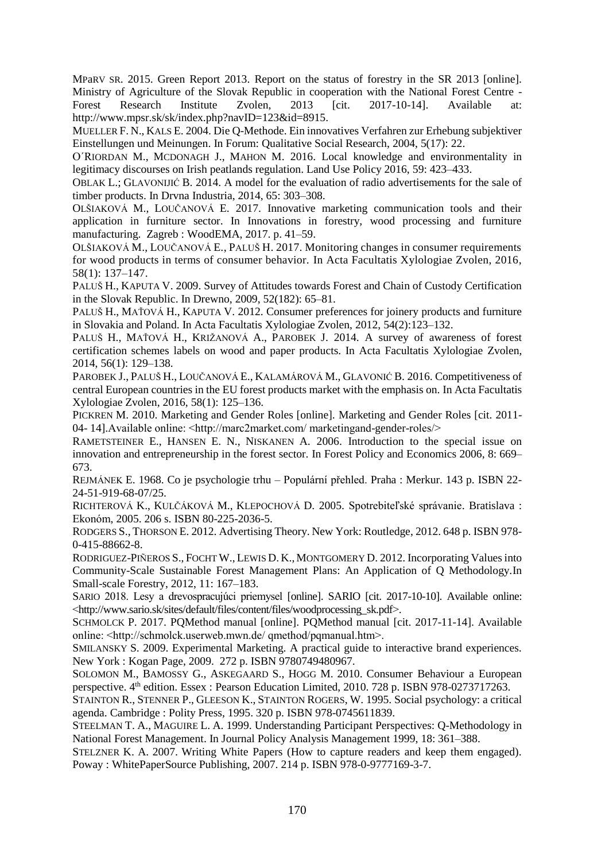MPaRV SR. 2015. Green Report 2013. Report on the status of forestry in the SR 2013 [online]. Ministry of Agriculture of the Slovak Republic in cooperation with the National Forest Centre - Forest Research Institute Zvolen, 2013 [cit. 2017-10-14]. Available at: [http://www.mpsr.sk/sk/index.php?navID=123&id=8915.](http://www.mpsr.sk/sk/index.php?navID=123&id=8915)

MUELLER F. N., KALS E. 2004. Die Q-Methode. Ein innovatives Verfahren zur Erhebung subjektiver Einstellungen und Meinungen. In Forum: Qualitative Social Research, 2004, 5(17): 22.

O´RIORDAN M., MCDONAGH J., MAHON M. 2016. Local knowledge and environmentality in legitimacy discourses on Irish peatlands regulation. Land Use Policy 2016, 59: 423–433.

OBLAK L.; GLAVONIJIĆ B. 2014. A model for the evaluation of radio advertisements for the sale of timber products. In Drvna Industria, 2014, 65: 303–308.

OLŠIAKOVÁ M., LOUČANOVÁ E. 2017. Innovative marketing communication tools and their application in furniture sector. In Innovations in forestry, wood processing and furniture manufacturing. Zagreb : WoodEMA, 2017. p. 41–59.

OLŠIAKOVÁ M., LOUČANOVÁ E., PALUŠ H. 2017. Monitoring changes in consumer requirements for wood products in terms of consumer behavior. In Acta Facultatis Xylologiae Zvolen, 2016, 58(1): 137–147.

PALUŠ H., KAPUTA V. 2009. Survey of Attitudes towards Forest and Chain of Custody Certification in the Slovak Republic. In Drewno, 2009, 52(182): 65–81.

PALUŠ H., MAŤOVÁ H., KAPUTA V. 2012. Consumer preferences for joinery products and furniture in Slovakia and Poland. In Acta Facultatis Xylologiae Zvolen, 2012, 54(2):123–132.

P[ALUŠ](https://www.scopus.com/authid/detail.uri?authorId=35764597700&eid=2-s2.0-84897842470) H., M[AŤOVÁ](https://www.scopus.com/authid/detail.uri?authorId=55361239600&eid=2-s2.0-84897842470) H., K[RIŽANOVÁ](https://www.scopus.com/authid/detail.uri?authorId=8507394200&eid=2-s2.0-84897842470) A., P[AROBEK](https://www.scopus.com/authid/detail.uri?authorId=56104680700&eid=2-s2.0-84897842470) J. 2014. A survey of awareness of forest certification schemes labels on wood and paper products. In [Acta Facultatis Xylologiae](https://www.scopus.com/sourceid/7700153234?origin=recordpage) Zvolen, 2014, 56(1): 129–138.

PAROBEK J., P[ALUŠ](https://www.scopus.com/authid/detail.uri?authorId=35764597700&eid=2-s2.0-84959885616) H., L[OUČANOVÁ](https://www.scopus.com/authid/detail.uri?authorId=56105878200&eid=2-s2.0-84959885616) E., K[ALAMÁROVÁ](https://www.scopus.com/authid/detail.uri?authorId=56896011700&eid=2-s2.0-84959885616) M., G[LAVONIĆ](https://www.scopus.com/authid/detail.uri?authorId=57156549900&eid=2-s2.0-84959885616) B. 2016. Competitiveness of central European countries in the EU forest products market with the emphasis on. In Acta Facultatis Xylologiae Zvolen, 2016, 58(1): 125–136.

PICKREN M. 2010. Marketing and Gender Roles [online]. Marketing and Gender Roles [cit. 2011- 04- 14]. Available online:  $\langle \text{http://marc2market.com/marketingand-gender-roles/>}$ 

RAMETSTEINER E., HANSEN E. N., NISKANEN A. 2006. Introduction to the special issue on innovation and entrepreneurship in the forest sector. In Forest Policy and Economics 2006, 8: 669– 673.

REJMÁNEK E. 1968. Co je psychologie trhu – Populární přehled. Praha : Merkur. 143 p. ISBN 22- 24-51-919-68-07/25.

RICHTEROVÁ K., KULČÁKOVÁ M., KLEPOCHOVÁ D. 2005. Spotrebiteľské správanie. Bratislava : Ekonóm, 2005. 206 s. ISBN 80-225-2036-5.

RODGERS S., THORSON E. 2012. Advertising Theory. New York: Routledge, 2012. 648 p. ISBN 978- 0-415-88662-8.

RODRIGUEZ-PIÑEROS S., FOCHTW., LEWIS D. K., MONTGOMERY D. 2012. Incorporating Values into Community-Scale Sustainable Forest Management Plans: An Application of Q Methodology.In [Small-scale Forestry,](https://link.springer.com/journal/11842) 2012, 11: 167–183.

SARIO 2018. Lesy a drevospracujúci priemysel [online]. SARIO [cit. 2017-10-10]. Available online: [˂http://www.sario.sk/sites/default/files/content/files/woodprocessing\\_sk.pdf˃](http://www.sario.sk/sites/default/files/content/files/woodprocessing_sk.pdf).

SCHMOLCK P. 2017. PQMethod manual [online]. PQMethod manual [cit. 2017-11-14]. Available online:  $\langle$ http://schmolck.userweb.mwn.de/ qmethod/pqmanual.htm>.

SMILANSKY S. 2009. Experimental Marketing. A practical guide to interactive brand experiences. New York : Kogan Page, 2009. 272 p. ISBN 9780749480967.

SOLOMON M., BAMOSSY G., ASKEGAARD S., HOGG M. 2010. Consumer Behaviour a European perspective. 4<sup>th</sup> edition. Essex : Pearson Education Limited, 2010. 728 p. ISBN 978-0273717263.

STAINTON R., STENNER P., GLEESON K., STAINTON ROGERS, W. 1995. Social psychology: a critical agenda. Cambridge : Polity Press, 1995. 320 p. ISBN 978-0745611839.

STEELMAN T. A., MAGUIRE L. A. 1999. Understanding Participant Perspectives: Q-Methodology in National Forest Management. In Journal Policy Analysis Management 1999, 18: 361–388.

STELZNER K. A. 2007. Writing White Papers (How to capture readers and keep them engaged). Poway : WhitePaperSource Publishing, 2007. 214 p. ISBN 978-0-9777169-3-7.